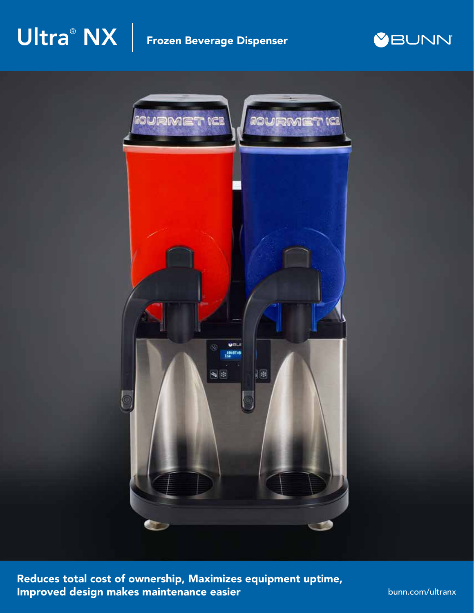# $\mathsf{\textbf{U}}$ l $\mathsf{tra}^\circ \mathsf{NX} \; | \;$  Frozen Beverage Dispenser





Reduces total cost of ownership, Maximizes equipment uptime, Improved design makes maintenance easier

bunn.com/ultranx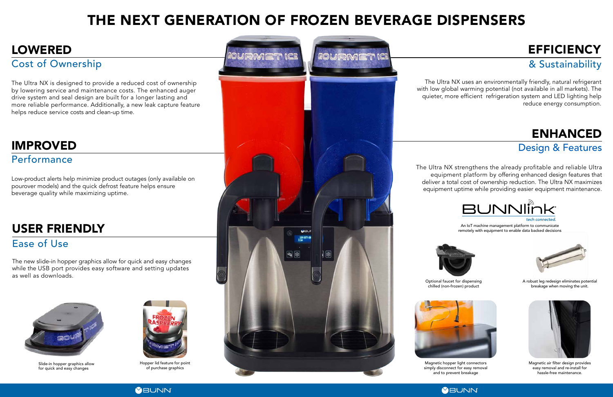Optional faucet for dispensing chilled (non-frozen) product



The Ultra NX is designed to provide a reduced cost of ownership by lowering service and maintenance costs. The enhanced auger drive system and seal design are built for a longer lasting and more reliable performance. Additionally, a new leak capture feature helps reduce service costs and clean-up time.

# THE NEXT GENERATION OF FROZEN BEVERAGE DISPENSERS

The Ultra NX strengthens the already profitable and reliable Ultra equipment platform by offering enhanced design features that deliver a total cost of ownership reduction. The Ultra NX maximizes equipment uptime while providing easier equipment maintenance.



# ENHANCED

### Design & Features

# LOWERED

Cost of Ownership

# IMPROVED

### Performance

Low-product alerts help minimize product outages (only available on pourover models) and the quick defrost feature helps ensure beverage quality while maximizing uptime.

The Ultra NX uses an environmentally friendly, natural refrigerant with low global warming potential (not available in all markets). The quieter, more efficient refrigeration system and LED lighting help reduce energy consumption.

& Sustainability



Magnetic air filter design provides easy removal and re-install for hassle-free maintenance.



The new slide-in hopper graphics allow for quick and easy changes while the USB port provides easy software and setting updates as well as downloads.



# USER FRIENDLY

### Ease of Use

Slide-in hopper graphics allow for quick and easy changes





Magnetic hopper light connectors simply disconnect for easy removal and to prevent breakage

# **EFFICIENCY**

An IoT machine management platform to communicate remotely with equipment to enable data backed decisions

Hopper lid feature for point of purchase graphics